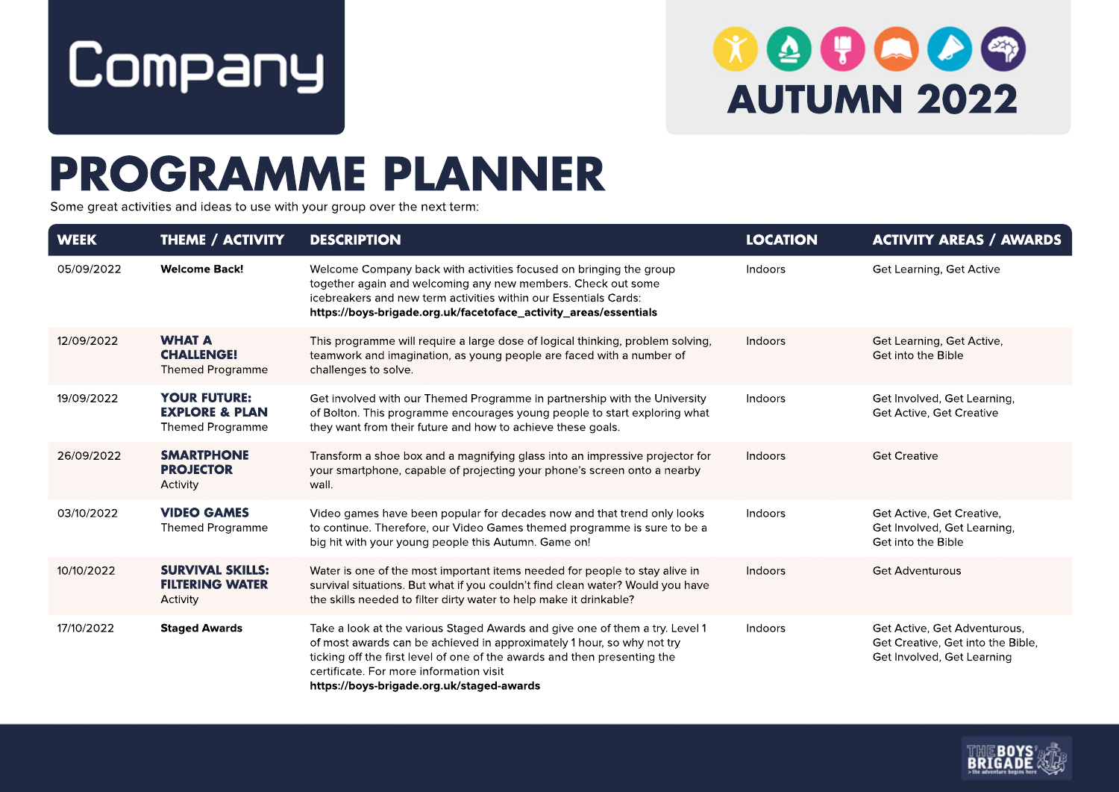

## $90000$ **AUTUMN 2022**

## **PROGRAMME PLANNER**

Some great activities and ideas to use with your group over the next term:

| <b>WEEK</b> | <b>THEME / ACTIVITY</b>                                                     | <b>DESCRIPTION</b>                                                                                                                                                                                                                                                                                                         | <b>LOCATION</b> | <b>ACTIVITY AREAS / AWARDS</b>                                                                  |
|-------------|-----------------------------------------------------------------------------|----------------------------------------------------------------------------------------------------------------------------------------------------------------------------------------------------------------------------------------------------------------------------------------------------------------------------|-----------------|-------------------------------------------------------------------------------------------------|
| 05/09/2022  | <b>Welcome Back!</b>                                                        | Welcome Company back with activities focused on bringing the group<br>together again and welcoming any new members. Check out some<br>icebreakers and new term activities within our Essentials Cards:<br>https://boys-brigade.org.uk/facetoface_activity_areas/essentials                                                 | Indoors         | Get Learning, Get Active                                                                        |
| 12/09/2022  | <b>WHAT A</b><br><b>CHALLENGE!</b><br><b>Themed Programme</b>               | This programme will require a large dose of logical thinking, problem solving,<br>teamwork and imagination, as young people are faced with a number of<br>challenges to solve.                                                                                                                                             | Indoors         | Get Learning, Get Active,<br>Get into the Bible                                                 |
| 19/09/2022  | <b>YOUR FUTURE:</b><br><b>EXPLORE &amp; PLAN</b><br><b>Themed Programme</b> | Get involved with our Themed Programme in partnership with the University<br>of Bolton. This programme encourages young people to start exploring what<br>they want from their future and how to achieve these goals.                                                                                                      | Indoors         | Get Involved, Get Learning,<br>Get Active, Get Creative                                         |
| 26/09/2022  | <b>SMARTPHONE</b><br><b>PROJECTOR</b><br>Activity                           | Transform a shoe box and a magnifying glass into an impressive projector for<br>your smartphone, capable of projecting your phone's screen onto a nearby<br>wall.                                                                                                                                                          | Indoors         | <b>Get Creative</b>                                                                             |
| 03/10/2022  | <b>VIDEO GAMES</b><br>Themed Programme                                      | Video games have been popular for decades now and that trend only looks<br>to continue. Therefore, our Video Games themed programme is sure to be a<br>big hit with your young people this Autumn. Game on!                                                                                                                | Indoors         | Get Active, Get Creative,<br>Get Involved, Get Learning,<br>Get into the Bible                  |
| 10/10/2022  | <b>SURVIVAL SKILLS:</b><br><b>FILTERING WATER</b><br>Activity               | Water is one of the most important items needed for people to stay alive in<br>survival situations. But what if you couldn't find clean water? Would you have<br>the skills needed to filter dirty water to help make it drinkable?                                                                                        | Indoors         | <b>Get Adventurous</b>                                                                          |
| 17/10/2022  | <b>Staged Awards</b>                                                        | Take a look at the various Staged Awards and give one of them a try. Level 1<br>of most awards can be achieved in approximately 1 hour, so why not try<br>ticking off the first level of one of the awards and then presenting the<br>certificate. For more information visit<br>https://boys-brigade.org.uk/staged-awards | Indoors         | Get Active, Get Adventurous,<br>Get Creative, Get into the Bible,<br>Get Involved, Get Learning |